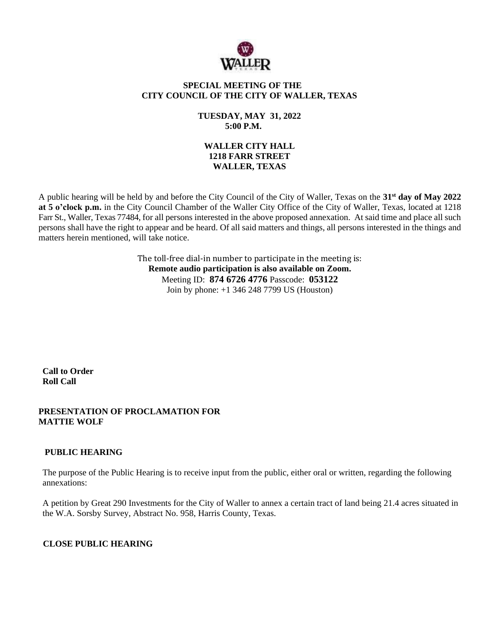

### **SPECIAL MEETING OF THE CITY COUNCIL OF THE CITY OF WALLER, TEXAS**

## **TUESDAY, MAY 31, 2022 5:00 P.M.**

### **WALLER CITY HALL 1218 FARR STREET WALLER, TEXAS**

A public hearing will be held by and before the City Council of the City of Waller, Texas on the **31st day of May 2022 at 5 o'clock p.m.** in the City Council Chamber of the Waller City Office of the City of Waller, Texas, located at 1218 Farr St., Waller, Texas 77484, for all persons interested in the above proposed annexation. At said time and place all such persons shall have the right to appear and be heard. Of all said matters and things, all persons interested in the things and matters herein mentioned, will take notice.

> The toll-free dial-in number to participate in the meeting is: **Remote audio participation is also available on Zoom.** Meeting ID: **874 6726 4776** Passcode: **053122** Join by phone: +1 346 248 7799 US (Houston)

**Call to Order Roll Call**

## **PRESENTATION OF PROCLAMATION FOR MATTIE WOLF**

# **PUBLIC HEARING**

The purpose of the Public Hearing is to receive input from the public, either oral or written, regarding the following annexations:

A petition by Great 290 Investments for the City of Waller to annex a certain tract of land being 21.4 acres situated in the W.A. Sorsby Survey, Abstract No. 958, Harris County, Texas.

# **CLOSE PUBLIC HEARING**